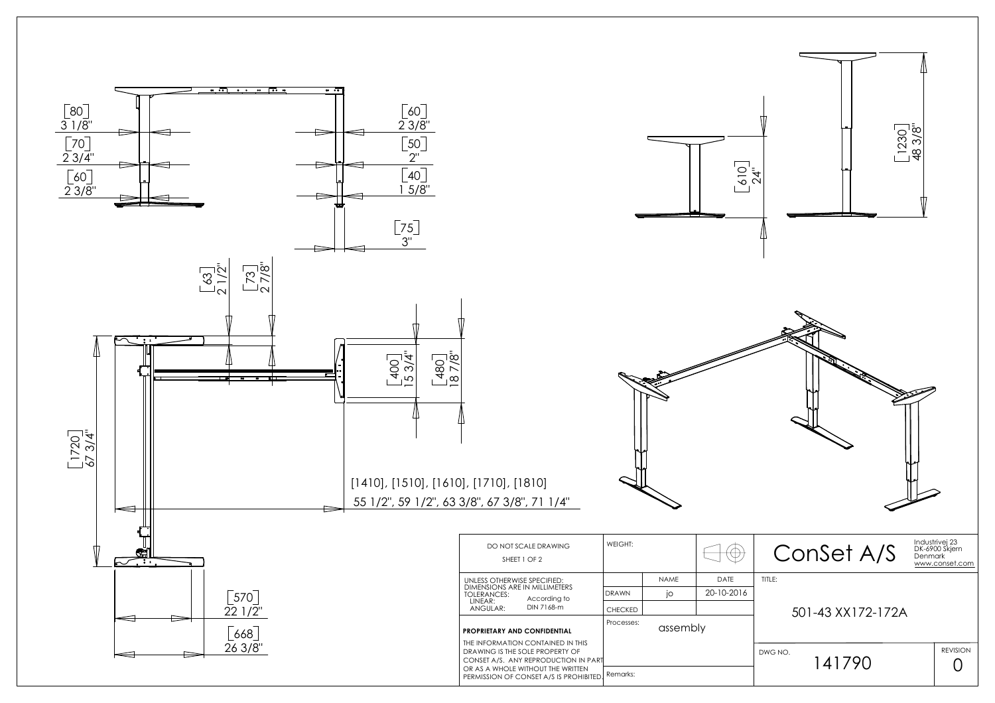